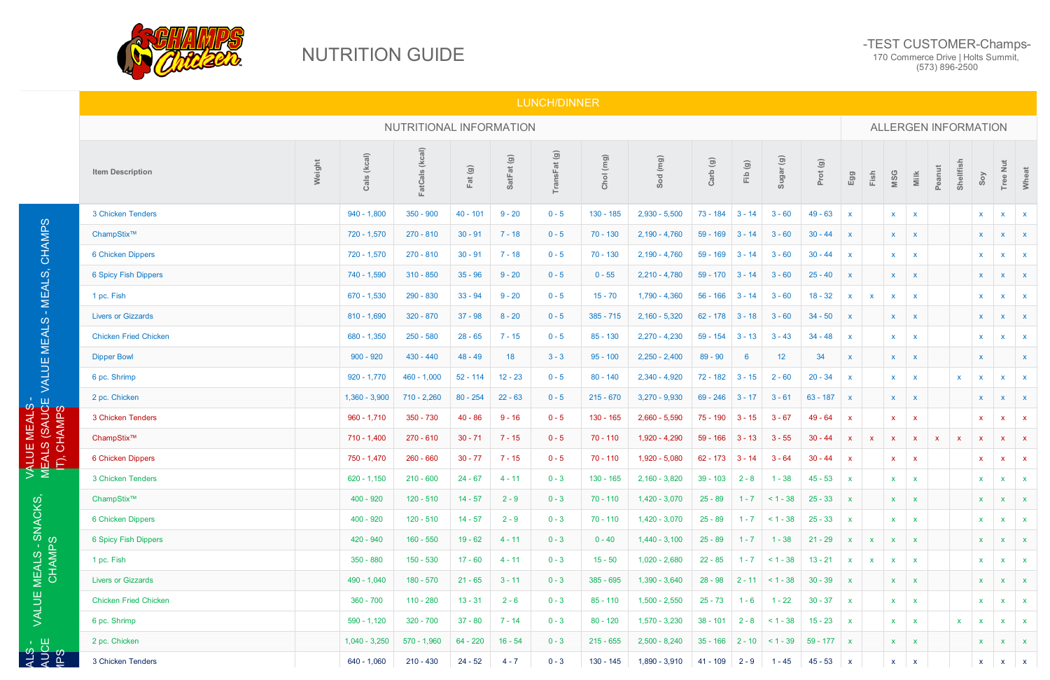## NUTRITION GUIDE

## -TEST CUSTOMER-Champs-170 Commerce Drive | Holts Summit,

(573) 896-2500

## LUNCH/DINNER

|                                   | NUTRITIONAL INFORMATION                                                                                                                                                                                                                                                                                                                                                                                                                                                                                                                                                                                                                                                                                                                                                                                                                                                                                                                                                                                                                                                                                                                                                                                                                                                                                                                                                                                                                                                                                                                                                                                                                                                                                                                                                                                                                                                                                                                |                       |                |              |              |             |             |                 |              |              |           |            |              |              | <b>ALLERGEN INFORMATION</b> |                           |              |              |                |                           |              |  |  |  |
|-----------------------------------|----------------------------------------------------------------------------------------------------------------------------------------------------------------------------------------------------------------------------------------------------------------------------------------------------------------------------------------------------------------------------------------------------------------------------------------------------------------------------------------------------------------------------------------------------------------------------------------------------------------------------------------------------------------------------------------------------------------------------------------------------------------------------------------------------------------------------------------------------------------------------------------------------------------------------------------------------------------------------------------------------------------------------------------------------------------------------------------------------------------------------------------------------------------------------------------------------------------------------------------------------------------------------------------------------------------------------------------------------------------------------------------------------------------------------------------------------------------------------------------------------------------------------------------------------------------------------------------------------------------------------------------------------------------------------------------------------------------------------------------------------------------------------------------------------------------------------------------------------------------------------------------------------------------------------------------|-----------------------|----------------|--------------|--------------|-------------|-------------|-----------------|--------------|--------------|-----------|------------|--------------|--------------|-----------------------------|---------------------------|--------------|--------------|----------------|---------------------------|--------------|--|--|--|
|                                   | <b>Item Description</b>                                                                                                                                                                                                                                                                                                                                                                                                                                                                                                                                                                                                                                                                                                                                                                                                                                                                                                                                                                                                                                                                                                                                                                                                                                                                                                                                                                                                                                                                                                                                                                                                                                                                                                                                                                                                                                                                                                                | Cals (kcal)<br>Weight | FatCals (kcal) | Fat (g)      | SatFat (g)   | TransFat(g) | Chol (mg)   | Sod (mg)        | Carb (g)     | Fib (g)      | Sugar (g) | Prot (g)   | Egg          | Fish         | <b>MSG</b>                  | $\frac{1}{2}$             | Peanut       | Shellfish    | Soy            | Tree Nut                  | Wheat        |  |  |  |
|                                   | 3 Chicken Tenders                                                                                                                                                                                                                                                                                                                                                                                                                                                                                                                                                                                                                                                                                                                                                                                                                                                                                                                                                                                                                                                                                                                                                                                                                                                                                                                                                                                                                                                                                                                                                                                                                                                                                                                                                                                                                                                                                                                      | $940 - 1,800$         | $350 - 900$    | $40 - 101$   | $9 - 20$     | $0 - 5$     | $130 - 185$ | $2,930 - 5,500$ | $73 - 184$   | $3 - 14$     | $3 - 60$  | $49 - 63$  | $\mathbf{x}$ |              | $\mathsf{X}$                | $\boldsymbol{\mathsf{x}}$ |              |              | $\mathbf{x}$   | $\mathbf{x}$              | $\mathbf{x}$ |  |  |  |
|                                   | ChampStix™                                                                                                                                                                                                                                                                                                                                                                                                                                                                                                                                                                                                                                                                                                                                                                                                                                                                                                                                                                                                                                                                                                                                                                                                                                                                                                                                                                                                                                                                                                                                                                                                                                                                                                                                                                                                                                                                                                                             | 720 - 1,570           | $270 - 810$    | $30 - 91$    | $7 - 18$     | $0 - 5$     | $70 - 130$  | $2,190 - 4,760$ | $59 - 169$   | $3 - 14$     | $3 - 60$  | $30 - 44$  |              |              | $\mathsf{X}$                | $\mathbf{x}$              |              |              | $\mathbf{x}$   | $\mathbf{x}$              | $\mathbf{x}$ |  |  |  |
| MEALS, CHAMPS                     | 6 Chicken Dippers                                                                                                                                                                                                                                                                                                                                                                                                                                                                                                                                                                                                                                                                                                                                                                                                                                                                                                                                                                                                                                                                                                                                                                                                                                                                                                                                                                                                                                                                                                                                                                                                                                                                                                                                                                                                                                                                                                                      | 720 - 1,570           | $270 - 810$    | $30 - 91$    | $7 - 18$     | $0 - 5$     | $70 - 130$  | $2,190 - 4,760$ | $59 - 169$   | $3 - 14$     | $3 - 60$  | $30 - 44$  | $\mathbf{x}$ |              | $\mathbf{x}$                | $\mathbf{x}$              |              |              | $\mathbf{x}$   | $\mathsf{x}$              | $\mathbf{x}$ |  |  |  |
|                                   | 6 Spicy Fish Dippers                                                                                                                                                                                                                                                                                                                                                                                                                                                                                                                                                                                                                                                                                                                                                                                                                                                                                                                                                                                                                                                                                                                                                                                                                                                                                                                                                                                                                                                                                                                                                                                                                                                                                                                                                                                                                                                                                                                   | 740 - 1,590           | $310 - 850$    | $35 - 96$    | $9 - 20$     | $0 - 5$     | $0 - 55$    | $2,210 - 4,780$ |              | $3 - 14$     | $3 - 60$  | $25 - 40$  | $\mathsf{x}$ |              | $\mathsf{X}$                | $\mathbf{x}$              |              |              | $\mathsf{x}$   | $\mathbf{x}$              | $\mathbf{x}$ |  |  |  |
|                                   | 1 pc. Fish                                                                                                                                                                                                                                                                                                                                                                                                                                                                                                                                                                                                                                                                                                                                                                                                                                                                                                                                                                                                                                                                                                                                                                                                                                                                                                                                                                                                                                                                                                                                                                                                                                                                                                                                                                                                                                                                                                                             | $670 - 1,530$         | 290 - 830      | $33 - 94$    | $9 - 20$     | $0 - 5$     | $15 - 70$   | $1,790 - 4,360$ |              | $3 - 14$     | $3 - 60$  | $18 - 32$  | $\mathsf{x}$ | $\mathbf{x}$ | $\mathsf{x}$                | $\boldsymbol{\mathsf{x}}$ |              |              | $\mathbf{x}$   | $\mathbf{x}$              | $\mathbf{x}$ |  |  |  |
| $\sim 10$                         | <b>Livers or Gizzards</b>                                                                                                                                                                                                                                                                                                                                                                                                                                                                                                                                                                                                                                                                                                                                                                                                                                                                                                                                                                                                                                                                                                                                                                                                                                                                                                                                                                                                                                                                                                                                                                                                                                                                                                                                                                                                                                                                                                              | $810 - 1,690$         | $320 - 870$    | $37 - 98$    | $8 - 20$     | $0 - 5$     | $385 - 715$ | $2,160 - 5,320$ |              |              | $3 - 60$  | $34 - 50$  |              |              | <b>X</b>                    | $\mathbf{x}$              |              |              | $\mathbf{x}$   | $\mathbf{x}$              | $\mathbf{x}$ |  |  |  |
| <b>VALUE MEALS</b>                | <b>Chicken Fried Chicken</b>                                                                                                                                                                                                                                                                                                                                                                                                                                                                                                                                                                                                                                                                                                                                                                                                                                                                                                                                                                                                                                                                                                                                                                                                                                                                                                                                                                                                                                                                                                                                                                                                                                                                                                                                                                                                                                                                                                           | $680 - 1,350$         | $250 - 580$    | $28 - 65$    | $7 - 15$     | $0 - 5$     | $85 - 130$  | $2,270 - 4,230$ |              | $3 - 13$     | $3 - 43$  | $34 - 48$  |              |              | $\mathsf{X}$                | $\mathbf x$               |              |              | $\mathbf{x}$   | $\boldsymbol{\mathsf{X}}$ | $\mathbf{x}$ |  |  |  |
|                                   | <b>Dipper Bowl</b>                                                                                                                                                                                                                                                                                                                                                                                                                                                                                                                                                                                                                                                                                                                                                                                                                                                                                                                                                                                                                                                                                                                                                                                                                                                                                                                                                                                                                                                                                                                                                                                                                                                                                                                                                                                                                                                                                                                     | $900 - 920$           | $430 - 440$    | $48 - 49$    | 18           | $3 - 3$     | $95 - 100$  | $2,250 - 2,400$ | $89 - 90$    | 6            | 12        | 34         |              |              | <b>X</b>                    | $\mathbf{x}$              |              |              | $\mathsf{x}$   |                           | $\mathsf{x}$ |  |  |  |
|                                   | 6 pc. Shrimp                                                                                                                                                                                                                                                                                                                                                                                                                                                                                                                                                                                                                                                                                                                                                                                                                                                                                                                                                                                                                                                                                                                                                                                                                                                                                                                                                                                                                                                                                                                                                                                                                                                                                                                                                                                                                                                                                                                           | $920 - 1,770$         | $460 - 1,000$  | $52 - 114$   | $12 - 23$    | $0 - 5$     | $80 - 140$  | $2,340 - 4,920$ |              |              | $2 - 60$  | $20 - 34$  |              |              | $\mathsf{X}$                | $\mathbf x$               |              | $\mathbf{x}$ |                | $\boldsymbol{\mathsf{X}}$ |              |  |  |  |
|                                   | 2 pc. Chicken                                                                                                                                                                                                                                                                                                                                                                                                                                                                                                                                                                                                                                                                                                                                                                                                                                                                                                                                                                                                                                                                                                                                                                                                                                                                                                                                                                                                                                                                                                                                                                                                                                                                                                                                                                                                                                                                                                                          |                       | $710 - 2,260$  | $80 - 254$   | $22 - 63$    | $0 - 5$     | $215 - 670$ | $3,270 - 9,930$ |              |              | $3 - 61$  | $63 - 187$ | $\mathbf{x}$ |              | $\mathsf{X}$                | $\mathbf{x}$              |              |              | X              | $\mathbf{x}$              | $\mathbf{X}$ |  |  |  |
|                                   | 3 Chicken Tenders                                                                                                                                                                                                                                                                                                                                                                                                                                                                                                                                                                                                                                                                                                                                                                                                                                                                                                                                                                                                                                                                                                                                                                                                                                                                                                                                                                                                                                                                                                                                                                                                                                                                                                                                                                                                                                                                                                                      | $960 - 1,710$         | $350 - 730$    | $40 - 86$    | $9 - 16$     | $0 - 5$     | $130 - 165$ | $2,660 - 5,590$ |              |              | $3 - 67$  | $49 - 64$  | $\mathbf{x}$ |              | X.                          | $\mathbf x$               |              |              | $\mathbf{x}$   | $\mathbf{x}$              | $\mathbf{x}$ |  |  |  |
| JE MEALS -<br>LS (SAUCE<br>CHAMPS | ChampStix™                                                                                                                                                                                                                                                                                                                                                                                                                                                                                                                                                                                                                                                                                                                                                                                                                                                                                                                                                                                                                                                                                                                                                                                                                                                                                                                                                                                                                                                                                                                                                                                                                                                                                                                                                                                                                                                                                                                             | $710 - 1,400$         | 270 - 610      | $30 - 71$    | $7 - 15$     | $0 - 5$     | $70 - 110$  | 1,920 - 4,290   | 59 - 166     | $3 - 13$     | $3 - 55$  | $30 - 44$  | $\mathbf{x}$ | $\mathbf{x}$ | x                           | $\mathbf{x}$              | $\mathbf{X}$ | $\mathbf{x}$ | $\mathbf{x}$   | $\mathbf{x}$              | $\mathbf{x}$ |  |  |  |
| MEALS<br><b>ALU</b><br>Ê          | 6 Chicken Dippers                                                                                                                                                                                                                                                                                                                                                                                                                                                                                                                                                                                                                                                                                                                                                                                                                                                                                                                                                                                                                                                                                                                                                                                                                                                                                                                                                                                                                                                                                                                                                                                                                                                                                                                                                                                                                                                                                                                      | 750 - 1,470           | $260 - 660$    | $30 - 77$    | $7 - 15$     | $0 - 5$     | $70 - 110$  | 1,920 - 5,080   |              |              | $3 - 64$  | $30 - 44$  | $\mathbf{x}$ |              | <b>X</b>                    | $\mathbf{x}$              |              |              | $\mathbf{x}$   | $\mathbf{x}$              | $\mathbf{x}$ |  |  |  |
|                                   | $59 - 170$<br>$56 - 166$<br>$62 - 178$ 3 - 18<br>$59 - 154$<br>$72 - 182$ 3 - 15<br>$1,360 - 3,900$<br>$69 - 246$ 3 - 17<br>$75 - 190$ 3 - 15<br>$62 - 173$ 3 - 14<br>$24 - 67$<br>$130 - 165$<br>$45 - 53$<br>3 Chicken Tenders<br>$620 - 1,150$<br>$210 - 600$<br>$4 - 11$<br>$2,160 - 3,820$<br>$39 - 103$<br>$1 - 38$<br>$0 - 3$<br>$2 - 8$<br>ChampStix™<br>$400 - 920$<br>$120 - 510$<br>$14 - 57$<br>$0 - 3$<br>$70 - 110$<br>$1,420 - 3,070$<br>$25 - 89$<br>$< 1 - 38$<br>$25 - 33$<br>$2 - 9$<br>$1 - 7$<br>$14 - 57$<br>6 Chicken Dippers<br>$400 - 920$<br>$120 - 510$<br>$2 - 9$<br>$0 - 3$<br>$70 - 110$<br>$1,420 - 3,070$<br>$25 - 89$<br>$< 1 - 38$<br>$25 - 33$<br>$1 - 7$<br>$19 - 62$<br>420 - 940<br>$160 - 550$<br>$0 - 40$<br>$1,440 - 3,100$<br>$1 - 38$<br>$21 - 29$<br>6 Spicy Fish Dippers<br>$4 - 11$<br>$0 - 3$<br>$25 - 89$<br>$1 - 7$<br>1 pc. Fish<br>$350 - 880$<br>$150 - 530$<br>$17 - 60$<br>$15 - 50$<br>$1,020 - 2,680$<br>$22 - 85$<br>$< 1 - 38$<br>$13 - 21$<br>$4 - 11$<br>$0 - 3$<br>$1 - 7$<br>$490 - 1,040$<br>$180 - 570$<br>$21 - 65$<br>385 - 695<br>$1,390 - 3,640$<br>$28 - 98$<br>$2 - 11$ < 1 - 38<br>$30 - 39$<br><b>Livers or Gizzards</b><br>$3 - 11$<br>$0 - 3$<br><b>Chicken Fried Chicken</b><br>$360 - 700$<br>$110 - 280$<br>$13 - 31$<br>$85 - 110$<br>$1,500 - 2,550$<br>$1 - 22$<br>$30 - 37$<br>$2 - 6$<br>$0 - 3$<br>$25 - 73$<br>$1 - 6$<br>$37 - 80$<br>$80 - 120$<br>$1,570 - 3,230$<br>$38 - 101$<br>$2 - 8$ < 1 - 38<br>6 pc. Shrimp<br>$590 - 1,120$<br>$320 - 700$<br>$7 - 14$<br>$0 - 3$<br>$15 - 23$<br>2 pc. Chicken<br>$1,040 - 3,250$<br>$64 - 220$<br>$16 - 54$<br>$215 - 655$<br>$2,500 - 8,240$<br>$570 - 1,960$<br>$0 - 3$<br>$35 - 166$<br>$2 - 10$ < 1 - 39<br>$59 - 177$ x<br>3 Chicken Tenders<br>$640 - 1,060$<br>$24 - 52$<br>$1,890 - 3,910$<br>$210 - 430$<br>$4 - 7$<br>$0 - 3$<br>130 - 145<br>41 - 109<br>$45 - 53$<br>$2 - 9$<br>$1 - 45$ | $\mathbf{x}$          |                | $\mathbf{x}$ | $\mathbf{X}$ |             |             | $\mathbf{x}$    | $\mathbf{x}$ | $\mathbf{X}$ |           |            |              |              |                             |                           |              |              |                |                           |              |  |  |  |
|                                   |                                                                                                                                                                                                                                                                                                                                                                                                                                                                                                                                                                                                                                                                                                                                                                                                                                                                                                                                                                                                                                                                                                                                                                                                                                                                                                                                                                                                                                                                                                                                                                                                                                                                                                                                                                                                                                                                                                                                        |                       |                |              |              |             |             |                 |              |              |           |            |              |              | $\mathbf{x}$                | $\mathbf{X}$              |              |              | $\mathsf{X}^-$ | $\mathbf{X}$              | $\mathbf{X}$ |  |  |  |
| VALUE MEALS - SNACKS,<br>CHAMPS   |                                                                                                                                                                                                                                                                                                                                                                                                                                                                                                                                                                                                                                                                                                                                                                                                                                                                                                                                                                                                                                                                                                                                                                                                                                                                                                                                                                                                                                                                                                                                                                                                                                                                                                                                                                                                                                                                                                                                        |                       |                |              |              |             |             |                 |              |              |           |            | $\mathbf{x}$ |              | $\mathbf{x}$                | $\mathbf{x}$              |              |              | $\mathbf{x}$   | $\mathbf{x}$              | $\mathbf{X}$ |  |  |  |
|                                   |                                                                                                                                                                                                                                                                                                                                                                                                                                                                                                                                                                                                                                                                                                                                                                                                                                                                                                                                                                                                                                                                                                                                                                                                                                                                                                                                                                                                                                                                                                                                                                                                                                                                                                                                                                                                                                                                                                                                        |                       |                |              |              |             |             |                 |              |              |           |            | $\mathbf{x}$ | $\mathbf{x}$ | $\mathbf{x}$                | $\mathbf{X}$              |              |              | $\mathbf{x}$   | $\mathbf{x}$              | $\mathbf{X}$ |  |  |  |
|                                   |                                                                                                                                                                                                                                                                                                                                                                                                                                                                                                                                                                                                                                                                                                                                                                                                                                                                                                                                                                                                                                                                                                                                                                                                                                                                                                                                                                                                                                                                                                                                                                                                                                                                                                                                                                                                                                                                                                                                        |                       |                |              |              |             |             |                 |              |              |           |            | $\mathbf{x}$ | $\mathbf{x}$ | $\mathbf{x}$                | $\mathbf{x}$              |              |              | $\mathbf{x}$   | $\mathbf{x}$              | $\mathbf{X}$ |  |  |  |
|                                   |                                                                                                                                                                                                                                                                                                                                                                                                                                                                                                                                                                                                                                                                                                                                                                                                                                                                                                                                                                                                                                                                                                                                                                                                                                                                                                                                                                                                                                                                                                                                                                                                                                                                                                                                                                                                                                                                                                                                        |                       |                |              |              |             |             |                 |              |              |           |            | $\mathbf{x}$ |              | $\mathbf{x}$                | $\mathbf{x}$              |              |              | $\mathbf{X}^-$ | $\mathbf{x}$              | $\mathbf{X}$ |  |  |  |
|                                   |                                                                                                                                                                                                                                                                                                                                                                                                                                                                                                                                                                                                                                                                                                                                                                                                                                                                                                                                                                                                                                                                                                                                                                                                                                                                                                                                                                                                                                                                                                                                                                                                                                                                                                                                                                                                                                                                                                                                        |                       |                |              |              |             |             |                 |              |              |           |            | $\mathbf{x}$ |              | $\mathbf{x}$                | $\mathbf{x}$              |              |              | $\mathbf{x}$   | $\mathbf{x}$              | $\mathbf{X}$ |  |  |  |
|                                   |                                                                                                                                                                                                                                                                                                                                                                                                                                                                                                                                                                                                                                                                                                                                                                                                                                                                                                                                                                                                                                                                                                                                                                                                                                                                                                                                                                                                                                                                                                                                                                                                                                                                                                                                                                                                                                                                                                                                        |                       |                |              |              |             |             |                 |              |              |           |            | $\mathbf{x}$ |              | $\mathbf{x}$                | $\mathbf{x}$              |              | $\mathbf{x}$ | X.             | $\mathbf{x}$              | $\mathbf{X}$ |  |  |  |
|                                   |                                                                                                                                                                                                                                                                                                                                                                                                                                                                                                                                                                                                                                                                                                                                                                                                                                                                                                                                                                                                                                                                                                                                                                                                                                                                                                                                                                                                                                                                                                                                                                                                                                                                                                                                                                                                                                                                                                                                        |                       |                |              |              |             |             |                 |              |              |           |            |              |              | $\mathbf{X}$                | $\mathbf{x}$              |              |              | $\mathbf{x}$   | $\mathbf{x}$              | $\mathbf{X}$ |  |  |  |
| ALS -<br>AUCE<br>1PS<br>1PS       |                                                                                                                                                                                                                                                                                                                                                                                                                                                                                                                                                                                                                                                                                                                                                                                                                                                                                                                                                                                                                                                                                                                                                                                                                                                                                                                                                                                                                                                                                                                                                                                                                                                                                                                                                                                                                                                                                                                                        |                       |                |              |              |             |             |                 |              |              |           |            | $\mathbf{X}$ |              | $\mathsf{X}^-$              | $\mathbf{x}$              |              |              | $\mathbf{x}$   | $\mathbf{x}$              | $\mathbf{x}$ |  |  |  |
|                                   |                                                                                                                                                                                                                                                                                                                                                                                                                                                                                                                                                                                                                                                                                                                                                                                                                                                                                                                                                                                                                                                                                                                                                                                                                                                                                                                                                                                                                                                                                                                                                                                                                                                                                                                                                                                                                                                                                                                                        |                       |                |              |              |             |             |                 |              |              |           |            |              |              |                             |                           |              |              |                |                           |              |  |  |  |
|                                   |                                                                                                                                                                                                                                                                                                                                                                                                                                                                                                                                                                                                                                                                                                                                                                                                                                                                                                                                                                                                                                                                                                                                                                                                                                                                                                                                                                                                                                                                                                                                                                                                                                                                                                                                                                                                                                                                                                                                        |                       |                |              |              |             |             |                 |              |              |           |            |              |              |                             |                           |              |              |                |                           |              |  |  |  |

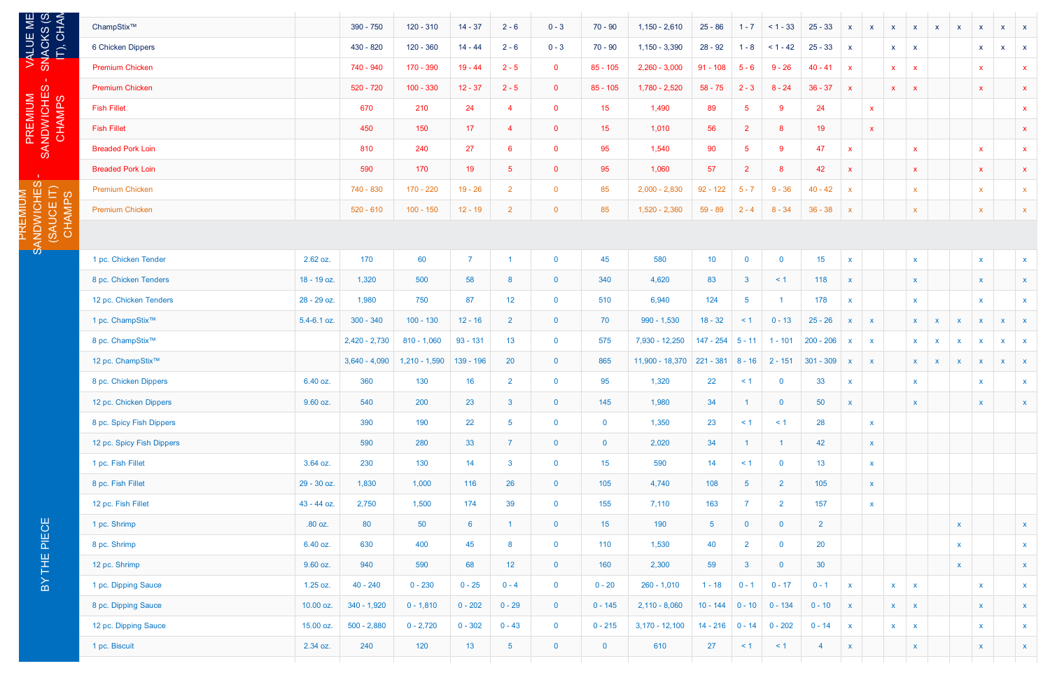PREMIUM<br>NDWICHE<br>^^```^^^ SANDWICHES -

VALUE ME.

| છં ≹                   | ChampStix™                   |                 | 390 - 750       | $120 - 310$     | $14 - 37$       | $2 - 6$         | $0 - 3$        | $70 - 90$               | $1,150 - 2,610$                            | $25 - 86$         | $1 - 7$        | $< 1 - 33$              | $25 - 33$       | $\mathbf{x}$ | $\mathbf{x}$ | $\mathbf{x}$              | $\mathsf{X}$              | $\mathbf{x}$ | $\mathsf{X}$ | $\boldsymbol{\mathsf{X}}$                                                                                                                                                            | $\mathbf{x}$ | $\mathbf{x}$ |
|------------------------|------------------------------|-----------------|-----------------|-----------------|-----------------|-----------------|----------------|-------------------------|--------------------------------------------|-------------------|----------------|-------------------------|-----------------|--------------|--------------|---------------------------|---------------------------|--------------|--------------|--------------------------------------------------------------------------------------------------------------------------------------------------------------------------------------|--------------|--------------|
| NACKS<br>IT), CH/      | 6 Chicken Dippers            |                 | 430 - 820       | $120 - 360$     | $14 - 44$       | $2 - 6$         | $0 - 3$        | $70 - 90$               | $1,150 - 3,390$                            | $28 - 92$         | $1 - 8$        | $< 1 - 42$              | $25 - 33$       | $\mathbf{x}$ |              | <b>X</b>                  | $\mathbf{x}$              |              |              |                                                                                                                                                                                      | $\mathbf{x}$ | $\mathbf{X}$ |
| <u>က</u>               | <b>Premium Chicken</b>       |                 | 740 - 940       | 170 - 390       | $19 - 44$       | $2 - 5$         | $\mathbf{0}$   | $85 - 105$              | $2,260 - 3,000$                            | $91 - 108$        | $5 - 6$        | $9 - 26$                | $40 - 41$       | $\mathbf{x}$ |              | X.                        | $\boldsymbol{\mathsf{x}}$ |              |              |                                                                                                                                                                                      |              | $\mathbf{x}$ |
|                        | <b>Premium Chicken</b>       |                 | 520 - 720       | $100 - 330$     | $12 - 37$       | $2 - 5$         | $\mathbf{0}$   | $85 - 105$              | 1,780 - 2,520                              | $58 - 75$         | $2 - 3$        | $8 - 24$                | $36 - 37$       | $\mathbf{x}$ |              | $\mathbf{x}$              | $\boldsymbol{\mathsf{x}}$ |              |              |                                                                                                                                                                                      |              | $\mathbf{x}$ |
|                        | <b>Fish Fillet</b>           |                 | 670             | 210             | 24              | $\overline{4}$  | $\mathbf 0$    | 15                      | 1,490                                      | 89                | -5             | 9                       | 24              |              | $\mathbf{x}$ |                           |                           |              |              |                                                                                                                                                                                      |              | $\mathbf x$  |
|                        | <b>Fish Fillet</b>           |                 | 450             | 150             | 17              | $\overline{4}$  | $\mathbf 0$    | 15                      | 1,010                                      | 56                | $\overline{2}$ | 8                       | 19              |              | $\mathbf X$  |                           |                           |              |              |                                                                                                                                                                                      |              | $\mathbf{x}$ |
| SANDWICHES -<br>CHAMPS | <b>Breaded Pork Loin</b>     |                 | 810             | 240             | 27              | $6\phantom{1}$  | $\mathbf 0$    | 95                      | 1,540                                      | 90                | 5              | 9                       | 47              | $\mathbf{x}$ |              |                           | $\mathbf X$               |              |              |                                                                                                                                                                                      |              | $\mathbf{x}$ |
|                        | <b>Breaded Pork Loin</b>     |                 | 590             | 170             | 19              | 5 <sub>5</sub>  | $\mathbf 0$    | 95                      | 1,060                                      | 57                | $\overline{2}$ | 8                       | 42              | $\mathbf{x}$ |              |                           | $\mathbf{x}$              |              |              |                                                                                                                                                                                      |              | $\mathbf{x}$ |
|                        | <b>Premium Chicken</b>       |                 | 740 - 830       | 170 - 220       | $19 - 26$       | $\overline{2}$  | $\overline{0}$ | 85                      | $2,000 - 2,830$                            | $92 - 122$        | $5 - 7$        | $9 - 36$                | $40 - 42$       | $\mathsf{x}$ |              |                           | $\boldsymbol{\mathsf{x}}$ |              |              |                                                                                                                                                                                      |              | $\mathbf{x}$ |
|                        | <b>Premium Chicken</b>       |                 | $520 - 610$     | $100 - 150$     | $12 - 19$       | $\overline{2}$  | $\overline{0}$ | 85                      | $1,520 - 2,360$                            | $59 - 89$         | $2 - 4$        | $8 - 34$                | $36 - 38$       | $\mathbf{x}$ |              |                           | $\boldsymbol{\mathsf{X}}$ |              |              |                                                                                                                                                                                      |              | $\mathbf{x}$ |
| (SAUCE IT)             |                              |                 |                 |                 |                 |                 |                |                         |                                            |                   |                |                         |                 |              |              |                           |                           |              |              |                                                                                                                                                                                      |              |              |
|                        |                              |                 |                 |                 |                 |                 |                |                         |                                            |                   |                |                         |                 |              |              |                           |                           |              |              |                                                                                                                                                                                      |              |              |
|                        | 1 pc. Chicken Tender         | 2.62 oz.        | 170             | 60              | $\overline{7}$  |                 | $\mathbf{0}$   | 45                      | 580                                        | 10 <sub>1</sub>   | $\bf{0}$       | $\mathbf 0$             | 15              | $\mathbf{x}$ |              |                           | $\mathsf{X}$              |              |              | $\mathbf{x}$                                                                                                                                                                         |              | $\mathbf{x}$ |
|                        | 8 pc. Chicken Tenders        | 18 - 19 oz.     | 1,320           | 500             | 58              | 8               | $\mathbf{0}$   | 340                     | 4,620                                      | 83                | $\mathbf{3}$   | $\leq$ 1                | 118             | $\mathbf{x}$ |              |                           | $\boldsymbol{\mathsf{X}}$ |              |              | $\boldsymbol{\mathsf{X}}$                                                                                                                                                            |              | $\mathbf{x}$ |
|                        | 12 pc. Chicken Tenders       | 28 - 29 oz.     | 1,980           | 750             | 87              | 12 <sub>2</sub> | $\mathbf{0}$   | 510                     | 6,940                                      | 124               | 5              |                         | 178             | $\mathbf{x}$ |              |                           | $\mathbf{x}$              |              |              | $\mathbf x$                                                                                                                                                                          |              | $\mathbf{x}$ |
|                        | 1 pc. ChampStix <sup>™</sup> | $5.4 - 6.1$ oz. | $300 - 340$     | $100 - 130$     | $12 - 16$       | $\overline{2}$  | $\mathbf{0}$   | 70                      | $990 - 1,530$                              | $18 - 32$         | $\leq$ 1       | $0 - 13$                | $25 - 26$       | $\mathbf{x}$ | $\mathbf{X}$ |                           | $\mathbf{x}$              | $\mathbf{x}$ | $\mathsf{X}$ | X                                                                                                                                                                                    | $\mathbf{x}$ | $\mathbf{x}$ |
|                        | 8 pc. ChampStix <sup>™</sup> |                 | $2,420 - 2,730$ | $810 - 1,060$   | $93 - 131$      | 13              | $\mathbf{0}$   | 575                     | 7,930 - 12,250                             | 147 - 254         | $5 - 11$       | $1 - 101$               | $200 - 206$     | $\mathsf{X}$ | $\mathbf{x}$ |                           | <b>X</b>                  | $\mathbf{x}$ | $\mathsf{x}$ | $\boldsymbol{\mathsf{x}}$                                                                                                                                                            | $\mathbf{x}$ | $\mathbf{x}$ |
|                        | 12 pc. ChampStix™            |                 | $3,640 - 4,090$ | $1,210 - 1,590$ | $139 - 196$     | 20              | $\mathbf 0$    | 865                     | $11,900 - 18,370$ 221 - 381 8 - 16 2 - 151 |                   |                |                         | $301 - 309$     | $\mathsf{x}$ | $\mathbf{X}$ |                           | $\mathbf{x}$              | $\mathbf{x}$ | X            | $\mathbf{x}$                                                                                                                                                                         | $\mathsf{X}$ | $\mathbf{X}$ |
|                        | 8 pc. Chicken Dippers        | 6.40 oz.        | 360             | 130             | 16              | $\overline{2}$  | $\mathbf{0}$   | 95                      | 1,320                                      | 22                | $\leq$ 1       | $\mathbf{0}$            | 33              | $\mathbf{x}$ |              |                           | $\mathbf{X}^-$            |              |              | $\mathsf{x}$                                                                                                                                                                         |              | $\mathbf{x}$ |
|                        | 12 pc. Chicken Dippers       | 9.60 oz.        | 540             | 200             | 23              | 3 <sup>1</sup>  | $\mathbf{0}$   | 145                     | 1,980                                      | 34                |                | $\overline{0}$          | 50              | $\mathbf{x}$ |              |                           | $\boldsymbol{\mathsf{X}}$ |              |              | $\boldsymbol{\mathsf{X}}$                                                                                                                                                            |              | $\mathbf{x}$ |
|                        | 8 pc. Spicy Fish Dippers     |                 | 390             | 190             | 22              | 5 <sup>5</sup>  | $\mathbf{0}$   | $\overline{\mathbf{0}}$ | 1,350                                      | 23                | $\leq$ 1       | $\leq$ 1                | 28              |              | $\mathbf{x}$ |                           |                           |              |              |                                                                                                                                                                                      |              |              |
|                        | 12 pc. Spicy Fish Dippers    |                 | 590             | 280             | 33              | $\overline{7}$  | $\overline{0}$ | $\overline{\mathbf{0}}$ | 2,020                                      | 34                |                | $\overline{1}$          | 42              |              | $\mathbf{x}$ |                           |                           |              |              | $\mathbf{x}$<br>$\mathbf{x}$<br>X<br>$\mathbf{x}$<br>$\mathbf{x}$<br>$\mathbf{x}$<br>$\boldsymbol{\mathsf{x}}$<br>$\mathbf{x}$<br>$\mathbf{x}$<br>$\mathbf{x}$<br>$\pmb{\mathsf{X}}$ |              |              |
|                        | 1 pc. Fish Fillet            | 3.64 oz.        | 230             | 130             | 14              | 3 <sup>7</sup>  | $\mathbf{0}$   | 15                      | 590                                        | 14                | $\leq$ 1       | $\mathbf{0}$            | 13              |              | $\mathbf{x}$ |                           |                           |              |              |                                                                                                                                                                                      |              |              |
|                        | 8 pc. Fish Fillet            | 29 - 30 oz.     | 1,830           | 1,000           | 116             | 26              | $\mathbf{0}$   | 105                     | 4,740                                      | 108               | 5 <sub>5</sub> | $\overline{2}$          | 105             |              | $\mathbf{X}$ |                           |                           |              |              |                                                                                                                                                                                      |              |              |
|                        | 12 pc. Fish Fillet           | 43 - 44 oz.     | 2,750           | 1,500           | 174             | 39              | $\mathbf{0}$   | 155                     | 7,110                                      | 163               | $\overline{7}$ | $\overline{2}$          | 157             |              | $\mathbf{x}$ |                           |                           |              |              |                                                                                                                                                                                      |              |              |
|                        | 1 pc. Shrimp                 | .80 oz.         | 80              | 50              | $6\overline{6}$ | $\mathbf{1}$    | $\overline{0}$ | 15 <sub>15</sub>        | 190                                        | 5 <sub>1</sub>    | $\overline{0}$ | $\overline{\mathbf{0}}$ | 2 <sup>7</sup>  |              |              |                           |                           |              | X            |                                                                                                                                                                                      |              | $\mathbf{x}$ |
| PIECE                  | 8 pc. Shrimp                 | 6.40 oz.        | 630             | 400             | 45              | 8               | $\mathbf{0}$   | 110                     | 1,530                                      | 40                | $2^{\circ}$    | $\overline{0}$          | 20              |              |              |                           |                           |              | $\mathsf{X}$ |                                                                                                                                                                                      |              | $\mathbf{x}$ |
| 出<br>三                 | 12 pc. Shrimp                | 9.60 oz.        | 940             | 590             | 68              | 12 <sub>2</sub> | $\overline{0}$ | 160                     | 2,300                                      | 59                | 3 <sup>1</sup> | $\mathbf{0}$            | 30 <sup>°</sup> |              |              |                           |                           |              | <b>X</b>     |                                                                                                                                                                                      |              | $\mathbf{x}$ |
| $\geq$                 | 1 pc. Dipping Sauce          | 1.25 oz.        | $40 - 240$      | $0 - 230$       | $0 - 25$        | $0 - 4$         | $\mathbf{0}$   | $0 - 20$                | $260 - 1,010$                              | $1 - 18$          | $0 - 1$        | $0 - 17$                | $0 - 1$         | $\mathbf{x}$ |              | $\mathbf{x}$              | $\mathbf{x}$              |              |              |                                                                                                                                                                                      |              | $\mathbf{x}$ |
|                        | 8 pc. Dipping Sauce          | 10.00 oz.       | $340 - 1,920$   | $0 - 1,810$     | $0 - 202$       | $0 - 29$        | $\overline{0}$ | $0 - 145$               | $2,110 - 8,060$                            | $10 - 144$        | $0 - 10$       | $0 - 134$               | $0 - 10$        | $\mathbf{X}$ |              | $\mathbf{x}$ $\mathbf{x}$ |                           |              |              |                                                                                                                                                                                      |              | $\mathbf{x}$ |
|                        | 12 pc. Dipping Sauce         | 15.00 oz.       | $500 - 2,880$   | $0 - 2,720$     | $0 - 302$       | $0 - 43$        | $\mathbf{0}$   | $0 - 215$               | $3,170 - 12,100$                           | $14 - 216$ 0 - 14 |                | $0 - 202$               | $0 - 14$        | $\mathbf{x}$ |              | $\mathbf{x}$ $\mathbf{x}$ |                           |              |              |                                                                                                                                                                                      |              | $\mathbf{X}$ |
|                        | 1 pc. Biscuit                | 2.34 oz.        | 240             | 120             | 13 <sup>°</sup> | $5\phantom{.0}$ | $\overline{0}$ | $\overline{0}$          | 610                                        | 27                | $\leq$ 1       | $\leq$ 1                | $\overline{4}$  | $\mathbf{x}$ |              |                           | $\boldsymbol{\mathsf{X}}$ |              |              |                                                                                                                                                                                      |              | $\mathbf{X}$ |
|                        |                              |                 |                 |                 |                 |                 |                |                         |                                            |                   |                |                         |                 |              |              |                           |                           |              |              |                                                                                                                                                                                      |              |              |

PREMIUM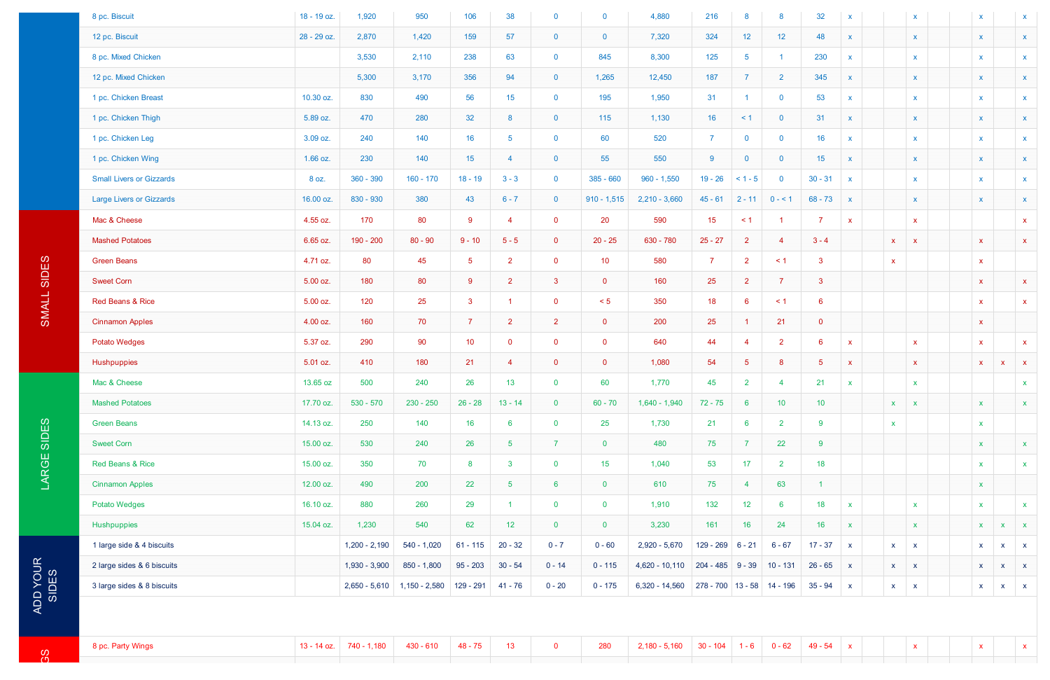| 8 pc. Biscuit                   | 18 - 19 oz.   | 1,920           | 950             | 106            | 38              | $\mathbf{0}$   | $\mathbf{0}$    | 4,880            | 216                          | 8                    | 8              | 32                   | $\mathsf{x}$ | $\mathbf{x}$                              | $\boldsymbol{\mathsf{x}}$ |              | $\boldsymbol{\mathsf{x}}$ |
|---------------------------------|---------------|-----------------|-----------------|----------------|-----------------|----------------|-----------------|------------------|------------------------------|----------------------|----------------|----------------------|--------------|-------------------------------------------|---------------------------|--------------|---------------------------|
| 12 pc. Biscuit                  | 28 - 29 oz.   | 2,870           | 1,420           | 159            | 57              | $\overline{0}$ | $\mathbf{0}$    | 7,320            | 324                          | 12 <sub>1</sub>      | 12             | 48                   | $\mathsf{x}$ | $\mathbf{x}$                              | $\pmb{\mathsf{X}}$        |              | $\mathbf{x}$              |
| 8 pc. Mixed Chicken             |               | 3,530           | 2,110           | 238            | 63              | $\mathbf{0}$   | 845             | 8,300            | 125                          | $5\phantom{.0}$      |                | 230                  | $\mathsf{x}$ | $\mathbf{x}$                              | $\mathsf{X}^-$            |              | $\mathbf{x}$              |
| 12 pc. Mixed Chicken            |               | 5,300           | 3,170           | 356            | 94              | $\overline{0}$ | 1,265           | 12,450           | 187                          | $\overline{7}$       | $\overline{2}$ | 345                  | $\mathsf{x}$ | $\boldsymbol{\mathsf{X}}$                 | $\mathsf{X}$              |              | $\mathbf{x}$              |
| 1 pc. Chicken Breast            | 10.30 oz.     | 830             | 490             | 56             | 15              | $\mathbf{0}$   | 195             | 1,950            | 31                           | $\blacktriangleleft$ | $\mathbf 0$    | 53                   | $\mathsf{x}$ | $\mathbf{x}$                              | $\mathsf{x}$              |              | $\mathbf{x}$              |
| 1 pc. Chicken Thigh             | 5.89 oz.      | 470             | 280             | 32             | 8               | $\overline{0}$ | 115             | 1,130            | 16                           | $\leq$ 1             | $\overline{0}$ | 31                   | $\mathsf{x}$ | $\mathbf{x}$                              | $\mathsf{X}$              |              | $\mathsf{X}$              |
| 1 pc. Chicken Leg               | 3.09 oz.      | 240             | 140             | 16             | 5               | $\mathbf 0$    | 60              | 520              | $\overline{7}$               | $\mathbf 0$          | $\mathbf 0$    | 16                   | $\mathsf{x}$ | $\mathbf{x}$                              | $\mathsf{x}$              |              | $\mathbf{x}$              |
| 1 pc. Chicken Wing              | $1.66$ oz.    | 230             | 140             | 15             | $\overline{4}$  | $\overline{0}$ | 55              | 550              | 9                            | $\mathbf{0}$         | $\mathbf 0$    | 15                   | $\mathsf{X}$ | $\mathbf{x}$                              | <b>X</b>                  |              | $\mathsf{X}$              |
| <b>Small Livers or Gizzards</b> | 8 oz.         | $360 - 390$     | $160 - 170$     | $18 - 19$      | $3 - 3$         | $\mathbf{0}$   | $385 - 660$     | $960 - 1,550$    | $19 - 26$                    | $< 1 - 5$            | $\mathbf 0$    | $30 - 31$            | $\mathsf{x}$ | $\mathbf{x}$                              | $\mathbf{x}$              |              | $\mathbf{x}$              |
| <b>Large Livers or Gizzards</b> | 16.00 oz.     | 830 - 930       | 380             | 43             | $6 - 7$         | $\overline{0}$ | $910 - 1,515$   | $2,210 - 3,660$  | $45 - 61$                    | $2 - 11$             | $0 - 1$        | $68 - 73$            | $\mathsf{X}$ | $\mathbf{x}$                              | $\mathsf{X}$              |              | $\mathsf{X}$              |
| Mac & Cheese                    | 4.55 oz.      | 170             | 80              | 9              | $\overline{4}$  | $\overline{0}$ | 20              | 590              | 15 <sub>15</sub>             | $\leq$ 1             | -1             | 7                    | $\mathsf{X}$ | $\mathbf{x}$                              |                           |              | $\mathbf{x}$              |
| <b>Mashed Potatoes</b>          | 6.65 oz.      | 190 - 200       | $80 - 90$       | $9 - 10$       | $5 - 5$         | $\overline{0}$ | $20 - 25$       | 630 - 780        | $25 - 27$                    | $\overline{2}$       | $\overline{4}$ | $3 - 4$              |              | $\mathbf{x}$<br>$\mathbf{x}$              | $\mathbf{x}$              |              | $\mathbf{x}$              |
| <b>Green Beans</b>              | 4.71 oz.      | 80              | 45              | $\sqrt{5}$     | $\overline{2}$  | $\mathbf{0}$   | 10 <sup>°</sup> | 580              | $\overline{7}$               | $2^{\circ}$          | $\leq$ 1       | $\mathbf{3}$         |              | $\mathbf{x}$                              | $\mathbf{x}$              |              |                           |
| <b>Sweet Corn</b>               | 5.00 oz.      | 180             | 80              | 9              | $\overline{2}$  | $\mathbf{3}$   | $\overline{0}$  | 160              | 25                           | $2^{\circ}$          | $\overline{7}$ | $\mathbf{3}$         |              |                                           | $\mathbf{X}$              |              | $\mathbf{x}$              |
| Red Beans & Rice                | 5.00 oz.      | 120             | 25              | $\mathbf{3}$   | -1              | $\overline{0}$ | < 5             | 350              | 18                           | $6^{\circ}$          | $\leq$ 1       | 6                    |              |                                           | $\mathbf{x}$              |              | $\mathbf{x}$              |
| <b>Cinnamon Apples</b>          | 4.00 oz.      | 160             | 70              | $\overline{7}$ | $\overline{2}$  | 2 <sup>1</sup> | $\mathbf{0}$    | 200              | 25                           | -1.                  | 21             | $\mathbf{0}$         |              |                                           | $\mathbf{x}$              |              |                           |
| <b>Potato Wedges</b>            | 5.37 oz.      | 290             | 90              | 10             | $\overline{0}$  | $\mathbf{0}$   | $\mathbf{0}$    | 640              | 44                           | 4                    | $\overline{2}$ | 6                    | $\mathsf{x}$ | $\mathbf{x}$                              | $\mathbf{x}$              |              | $\mathbf{x}$              |
| Hushpuppies                     | 5.01 oz.      | 410             | 180             | 21             | $\overline{4}$  | $\mathbf{0}$   | $\overline{0}$  | 1,080            | 54                           | 5 <sub>5</sub>       | 8              | $5\overline{)}$      | $\mathsf{x}$ | $\mathbf{x}$                              | $\mathbf{x}$              | x            | $\mathbf{x}$              |
| Mac & Cheese                    | 13.65 oz      | 500             | 240             | 26             | 13              | $\mathbf 0$    | 60              | 1,770            | 45                           | $\overline{2}$       | $\overline{4}$ | 21                   | $\mathbf{x}$ | $\mathbf{x}$                              |                           |              | $\mathbf{x}$              |
| <b>Mashed Potatoes</b>          | 17.70 oz.     | $530 - 570$     | $230 - 250$     | $26 - 28$      | $13 - 14$       | $\overline{0}$ | $60 - 70$       | $1,640 - 1,940$  | $72 - 75$                    | $6^{\circ}$          | 10             | 10 <sub>1</sub>      |              | $\mathsf{X}$<br>$\mathbf{x}$              | $\mathbf{x}$              |              | $\mathbf{x}$              |
| <b>Green Beans</b>              | 14.13 oz.     | 250             | 140             | 16             | $6\phantom{1}6$ | $\overline{0}$ | 25              | 1,730            | 21                           | $6\overline{6}$      | $\overline{2}$ | 9                    |              | $\mathbf x$                               | $\mathbf{x}$              |              |                           |
| <b>Sweet Corn</b>               | 15.00 oz.     | 530             | 240             | 26             | $5\phantom{.0}$ | 7 <sup>1</sup> | $\overline{0}$  | 480              | 75                           | $\overline{7}$       | 22             | $9^{\circ}$          |              |                                           | $\mathbf{X}^-$            |              | $\mathbf{x}$              |
| Red Beans & Rice                | 15.00 oz.     | 350             | 70              | 8              | $\mathbf{3}$    | $\overline{0}$ | 15 <sub>1</sub> | 1,040            | 53                           | 17 <sup>2</sup>      | $\overline{2}$ | 18                   |              |                                           | $\mathbf{x}$              |              | $\mathbf{x}$              |
| <b>Cinnamon Apples</b>          | 12.00 oz.     | 490             | 200             | 22             | $5\phantom{.0}$ | $6^{\circ}$    | $\mathbf{0}$    | 610              | 75                           | $\overline{4}$       | 63             | $\blacktriangleleft$ |              |                                           | $\mathbf{x}$              |              |                           |
| <b>Potato Wedges</b>            | 16.10 oz.     | 880             | 260             | 29             | -1              | $\overline{0}$ | $\mathbf{0}$    | 1,910            | 132                          | 12 <sub>2</sub>      | $6^{\circ}$    | 18                   | $\mathbf{x}$ | $\mathbf{x}$                              | $\mathbf{x}$              |              | $\mathbf{x}$              |
| Hushpuppies                     | 15.04 oz.     | 1,230           | 540             | 62             | 12              | $\overline{0}$ | $\mathbf{0}$    | 3,230            | 161                          | 16                   | 24             | 16                   | $\mathbf{x}$ | $\mathbf{x}$                              | $\mathbf x$               | X            | $\mathbf{x}$              |
| 1 large side & 4 biscuits       |               | $1,200 - 2,190$ | $540 - 1,020$   | $61 - 115$     | $20 - 32$       | $0 - 7$        | $0 - 60$        | $2,920 - 5,670$  | $129 - 269$ 6 - 21           |                      | $6 - 67$       | $17 - 37$            | $\mathbf{x}$ | $\boldsymbol{\mathsf{X}}$<br>$\mathbf{x}$ | $\mathbf{x}$              | X.           | $\mathbf{x}$              |
| 2 large sides & 6 biscuits      |               | 1,930 - 3,900   | $850 - 1,800$   | $95 - 203$     | $30 - 54$       | $0 - 14$       | $0 - 115$       | $4,620 - 10,110$ | $204 - 485$ 9 - 39           |                      | $10 - 131$     | $26 - 65$            | $\mathbf{x}$ | $\mathsf{X}$<br>$\mathbf{x}$              | $\mathbf{x}$              | $\mathbf{x}$ | $\mathbf{x}$              |
| 3 large sides & 8 biscuits      |               | $2,650 - 5,610$ | $1,150 - 2,580$ | 129 - 291      | $41 - 76$       | $0 - 20$       | $0 - 175$       | $6,320 - 14,560$ | $278 - 700$ 13 - 58 14 - 196 |                      |                | $35 - 94$            | $\mathbf{x}$ | $\mathbf{x}$<br>$\mathbf{x}$              | $\mathbf{x}$              | $\mathbf{X}$ | $\mathbf{x}$              |
|                                 |               |                 |                 |                |                 |                |                 |                  |                              |                      |                |                      |              |                                           |                           |              |                           |
|                                 |               |                 |                 |                |                 |                |                 |                  |                              |                      |                |                      |              |                                           |                           |              |                           |
| 8 pc. Party Wings               | $13 - 14$ oz. | 740 - 1,180     | $430 - 610$     | $48 - 75$      | 13              | $\mathbf{0}$   | 280             | $2,180 - 5,160$  | $30 - 104$                   | $1 - 6$              | $0 - 62$       | $49 - 54$            | $\mathbf{x}$ | $\mathbf{x}$                              | $\mathbf{x}$              |              | $\mathbf{x}$              |
|                                 |               |                 |                 |                |                 |                |                 |                  |                              |                      |                |                      |              |                                           |                           |              |                           |

က<br>၁

 $\overline{S}$